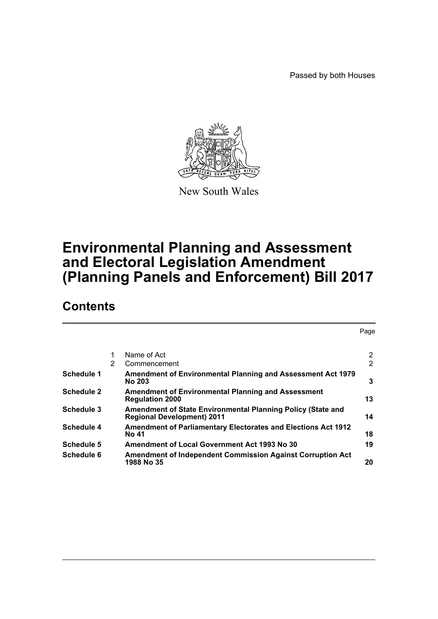Passed by both Houses



New South Wales

# **Environmental Planning and Assessment and Electoral Legislation Amendment (Planning Panels and Enforcement) Bill 2017**

# **Contents**

|                   |   |                                                                                                  | Page           |
|-------------------|---|--------------------------------------------------------------------------------------------------|----------------|
|                   | 1 | Name of Act                                                                                      | $\overline{2}$ |
|                   | 2 | Commencement                                                                                     | $\overline{2}$ |
| Schedule 1        |   | Amendment of Environmental Planning and Assessment Act 1979<br><b>No 203</b>                     | 3              |
| <b>Schedule 2</b> |   | <b>Amendment of Environmental Planning and Assessment</b><br><b>Regulation 2000</b>              | 13             |
| <b>Schedule 3</b> |   | Amendment of State Environmental Planning Policy (State and<br><b>Regional Development) 2011</b> | 14             |
| Schedule 4        |   | <b>Amendment of Parliamentary Electorates and Elections Act 1912</b><br>No 41                    | 18             |
| Schedule 5        |   | Amendment of Local Government Act 1993 No 30                                                     | 19             |
| Schedule 6        |   | <b>Amendment of Independent Commission Against Corruption Act</b><br>1988 No 35                  | 20             |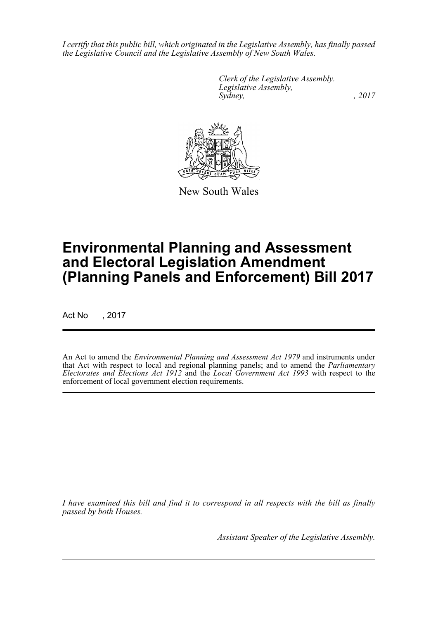*I certify that this public bill, which originated in the Legislative Assembly, has finally passed the Legislative Council and the Legislative Assembly of New South Wales.*

> *Clerk of the Legislative Assembly. Legislative Assembly, Sydney,* , 2017



New South Wales

# **Environmental Planning and Assessment and Electoral Legislation Amendment (Planning Panels and Enforcement) Bill 2017**

Act No , 2017

An Act to amend the *Environmental Planning and Assessment Act 1979* and instruments under that Act with respect to local and regional planning panels; and to amend the *Parliamentary Electorates and Elections Act 1912* and the *Local Government Act 1993* with respect to the enforcement of local government election requirements.

*I have examined this bill and find it to correspond in all respects with the bill as finally passed by both Houses.*

*Assistant Speaker of the Legislative Assembly.*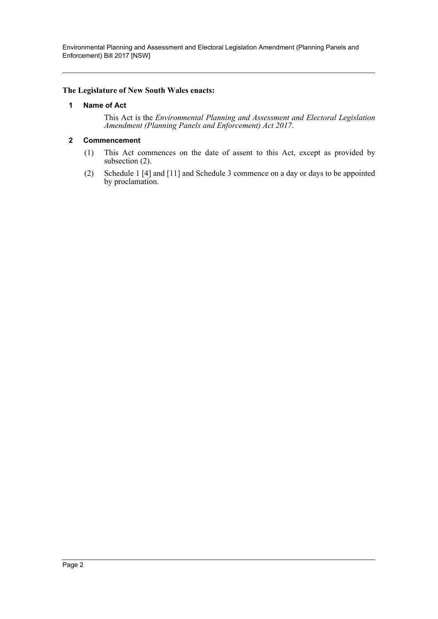Environmental Planning and Assessment and Electoral Legislation Amendment (Planning Panels and Enforcement) Bill 2017 [NSW]

### <span id="page-2-0"></span>**The Legislature of New South Wales enacts:**

### **1 Name of Act**

This Act is the *Environmental Planning and Assessment and Electoral Legislation Amendment (Planning Panels and Enforcement) Act 2017*.

### <span id="page-2-1"></span>**2 Commencement**

- (1) This Act commences on the date of assent to this Act, except as provided by subsection (2).
- (2) Schedule 1 [4] and [11] and Schedule 3 commence on a day or days to be appointed by proclamation.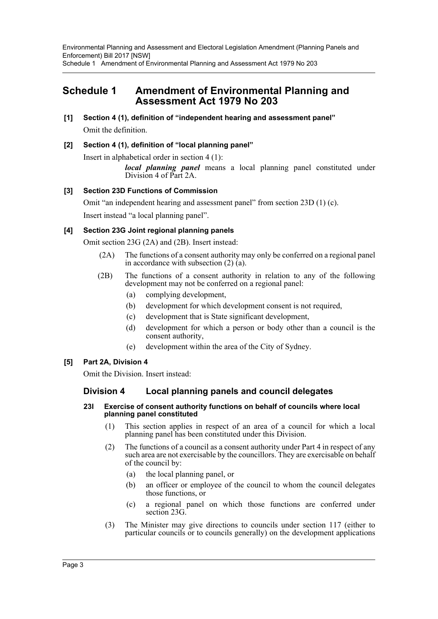<span id="page-3-0"></span>**[1] Section 4 (1), definition of "independent hearing and assessment panel"** Omit the definition.

### **[2] Section 4 (1), definition of "local planning panel"**

Insert in alphabetical order in section 4 (1):

*local planning panel* means a local planning panel constituted under Division 4 of Part 2A.

### **[3] Section 23D Functions of Commission**

Omit "an independent hearing and assessment panel" from section 23D (1) (c). Insert instead "a local planning panel".

### **[4] Section 23G Joint regional planning panels**

Omit section 23G (2A) and (2B). Insert instead:

- (2A) The functions of a consent authority may only be conferred on a regional panel in accordance with subsection  $(2)$   $(a)$ .
- (2B) The functions of a consent authority in relation to any of the following development may not be conferred on a regional panel:
	- (a) complying development,
	- (b) development for which development consent is not required,
	- (c) development that is State significant development,
	- (d) development for which a person or body other than a council is the consent authority,
	- (e) development within the area of the City of Sydney.

### **[5] Part 2A, Division 4**

Omit the Division. Insert instead:

### **Division 4 Local planning panels and council delegates**

### **23I Exercise of consent authority functions on behalf of councils where local planning panel constituted**

- (1) This section applies in respect of an area of a council for which a local planning panel has been constituted under this Division.
- (2) The functions of a council as a consent authority under Part 4 in respect of any such area are not exercisable by the councillors. They are exercisable on behalf of the council by:
	- (a) the local planning panel, or
	- (b) an officer or employee of the council to whom the council delegates those functions, or
	- (c) a regional panel on which those functions are conferred under section 23G.
- (3) The Minister may give directions to councils under section 117 (either to particular councils or to councils generally) on the development applications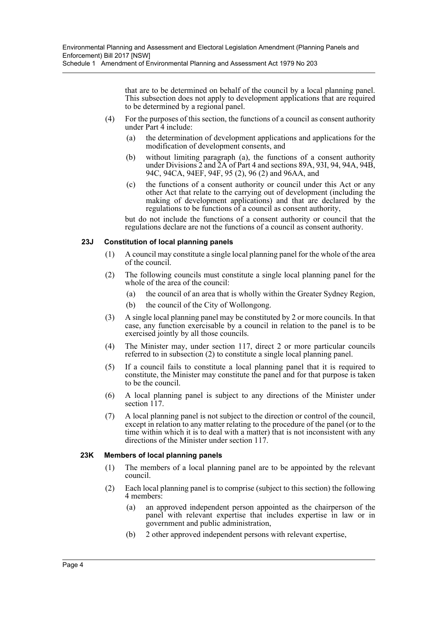that are to be determined on behalf of the council by a local planning panel. This subsection does not apply to development applications that are required to be determined by a regional panel.

- (4) For the purposes of this section, the functions of a council as consent authority under  $Part \, 4$  include:
	- (a) the determination of development applications and applications for the modification of development consents, and
	- (b) without limiting paragraph (a), the functions of a consent authority under Divisions  $2$  and  $2A$  of Part 4 and sections 89A, 93I, 94, 94A, 94B, 94C, 94CA, 94EF, 94F, 95 (2), 96 (2) and 96AA, and
	- (c) the functions of a consent authority or council under this Act or any other Act that relate to the carrying out of development (including the making of development applications) and that are declared by the regulations to be functions of a council as consent authority,

but do not include the functions of a consent authority or council that the regulations declare are not the functions of a council as consent authority.

### **23J Constitution of local planning panels**

- (1) A council may constitute a single local planning panel for the whole of the area of the council.
- (2) The following councils must constitute a single local planning panel for the whole of the area of the council:
	- (a) the council of an area that is wholly within the Greater Sydney Region,
	- (b) the council of the City of Wollongong.
- (3) A single local planning panel may be constituted by 2 or more councils. In that case, any function exercisable by a council in relation to the panel is to be exercised jointly by all those councils.
- (4) The Minister may, under section 117, direct 2 or more particular councils referred to in subsection (2) to constitute a single local planning panel.
- (5) If a council fails to constitute a local planning panel that it is required to constitute, the Minister may constitute the panel and for that purpose is taken to be the council.
- (6) A local planning panel is subject to any directions of the Minister under section 117.
- (7) A local planning panel is not subject to the direction or control of the council, except in relation to any matter relating to the procedure of the panel (or to the time within which it is to deal with a matter) that is not inconsistent with any directions of the Minister under section 117.

#### **23K Members of local planning panels**

- (1) The members of a local planning panel are to be appointed by the relevant council.
- (2) Each local planning panel is to comprise (subject to this section) the following 4 members:
	- (a) an approved independent person appointed as the chairperson of the panel with relevant expertise that includes expertise in law or in government and public administration,
	- (b) 2 other approved independent persons with relevant expertise,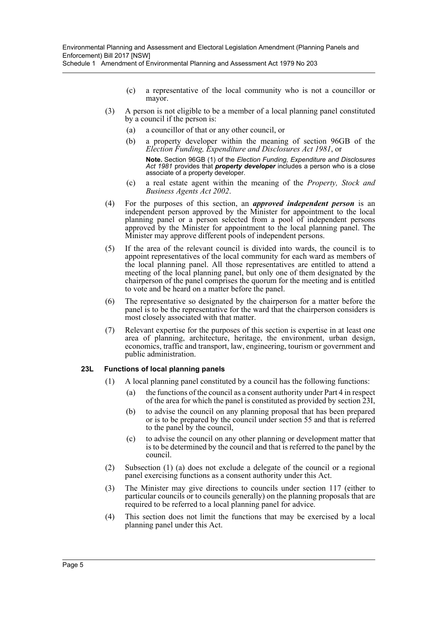- (c) a representative of the local community who is not a councillor or mayor.
- (3) A person is not eligible to be a member of a local planning panel constituted by a council if the person is:
	- (a) a councillor of that or any other council, or
	- (b) a property developer within the meaning of section 96GB of the *Election Funding, Expenditure and Disclosures Act 1981*, or

**Note.** Section 96GB (1) of the *Election Funding, Expenditure and Disclosures Act 1981* provides that *property developer* includes a person who is a close associate of a property developer.

- (c) a real estate agent within the meaning of the *Property, Stock and Business Agents Act 2002*.
- (4) For the purposes of this section, an *approved independent person* is an independent person approved by the Minister for appointment to the local planning panel or a person selected from a pool of independent persons approved by the Minister for appointment to the local planning panel. The Minister may approve different pools of independent persons.
- (5) If the area of the relevant council is divided into wards, the council is to appoint representatives of the local community for each ward as members of the local planning panel. All those representatives are entitled to attend a meeting of the local planning panel, but only one of them designated by the chairperson of the panel comprises the quorum for the meeting and is entitled to vote and be heard on a matter before the panel.
- (6) The representative so designated by the chairperson for a matter before the panel is to be the representative for the ward that the chairperson considers is most closely associated with that matter.
- (7) Relevant expertise for the purposes of this section is expertise in at least one area of planning, architecture, heritage, the environment, urban design, economics, traffic and transport, law, engineering, tourism or government and public administration.

### **23L Functions of local planning panels**

- (1) A local planning panel constituted by a council has the following functions:
	- (a) the functions of the council as a consent authority under Part 4 in respect of the area for which the panel is constituted as provided by section 23I,
	- (b) to advise the council on any planning proposal that has been prepared or is to be prepared by the council under section 55 and that is referred to the panel by the council,
	- (c) to advise the council on any other planning or development matter that is to be determined by the council and that is referred to the panel by the council.
- (2) Subsection (1) (a) does not exclude a delegate of the council or a regional panel exercising functions as a consent authority under this Act.
- (3) The Minister may give directions to councils under section 117 (either to particular councils or to councils generally) on the planning proposals that are required to be referred to a local planning panel for advice.
- (4) This section does not limit the functions that may be exercised by a local planning panel under this Act.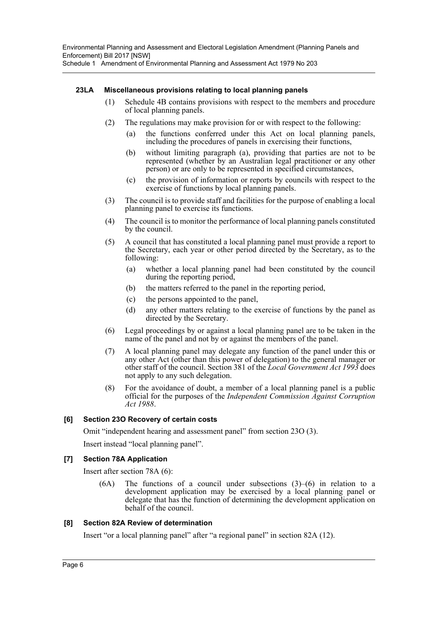### **23LA Miscellaneous provisions relating to local planning panels**

- (1) Schedule 4B contains provisions with respect to the members and procedure of local planning panels.
- (2) The regulations may make provision for or with respect to the following:
	- (a) the functions conferred under this Act on local planning panels, including the procedures of panels in exercising their functions,
	- (b) without limiting paragraph (a), providing that parties are not to be represented (whether by an Australian legal practitioner or any other person) or are only to be represented in specified circumstances,
	- (c) the provision of information or reports by councils with respect to the exercise of functions by local planning panels.
- (3) The council is to provide staff and facilities for the purpose of enabling a local planning panel to exercise its functions.
- (4) The council is to monitor the performance of local planning panels constituted by the council.
- (5) A council that has constituted a local planning panel must provide a report to the Secretary, each year or other period directed by the Secretary, as to the following:
	- (a) whether a local planning panel had been constituted by the council during the reporting period,
	- (b) the matters referred to the panel in the reporting period,
	- (c) the persons appointed to the panel,
	- (d) any other matters relating to the exercise of functions by the panel as directed by the Secretary.
- (6) Legal proceedings by or against a local planning panel are to be taken in the name of the panel and not by or against the members of the panel.
- (7) A local planning panel may delegate any function of the panel under this or any other Act (other than this power of delegation) to the general manager or other staff of the council. Section 381 of the *Local Government Act 1993* does not apply to any such delegation.
- (8) For the avoidance of doubt, a member of a local planning panel is a public official for the purposes of the *Independent Commission Against Corruption Act 1988*.

### **[6] Section 23O Recovery of certain costs**

Omit "independent hearing and assessment panel" from section 23O (3).

Insert instead "local planning panel".

### **[7] Section 78A Application**

Insert after section 78A (6):

 $(6A)$  The functions of a council under subsections  $(3)$ – $(6)$  in relation to a development application may be exercised by a local planning panel or delegate that has the function of determining the development application on behalf of the council.

### **[8] Section 82A Review of determination**

Insert "or a local planning panel" after "a regional panel" in section 82A (12).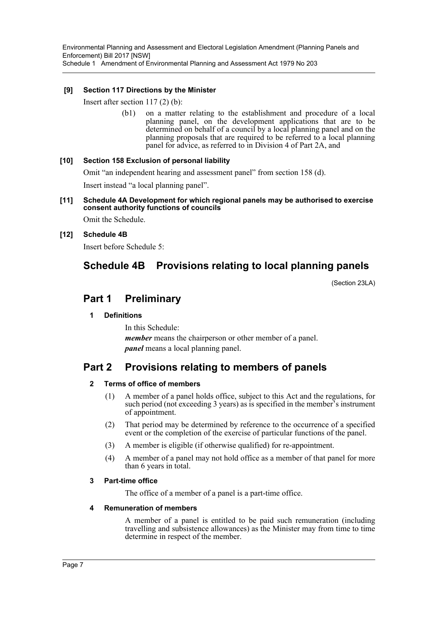### **[9] Section 117 Directions by the Minister**

Insert after section 117 (2) (b):

(b1) on a matter relating to the establishment and procedure of a local planning panel, on the development applications that are to be determined on behalf of a council by a local planning panel and on the planning proposals that are required to be referred to a local planning panel for advice, as referred to in Division 4 of Part 2A, and

### **[10] Section 158 Exclusion of personal liability**

Omit "an independent hearing and assessment panel" from section 158 (d).

Insert instead "a local planning panel".

### **[11] Schedule 4A Development for which regional panels may be authorised to exercise consent authority functions of councils**

Omit the Schedule.

### **[12] Schedule 4B**

Insert before Schedule 5:

## **Schedule 4B Provisions relating to local planning panels**

(Section 23LA)

### **Part 1 Preliminary**

### **1 Definitions**

In this Schedule: *member* means the chairperson or other member of a panel. *panel* means a local planning panel.

### **Part 2 Provisions relating to members of panels**

### **2 Terms of office of members**

- (1) A member of a panel holds office, subject to this Act and the regulations, for such period (not exceeding 3 years) as is specified in the member's instrument of appointment.
- (2) That period may be determined by reference to the occurrence of a specified event or the completion of the exercise of particular functions of the panel.
- (3) A member is eligible (if otherwise qualified) for re-appointment.
- (4) A member of a panel may not hold office as a member of that panel for more than 6 years in total.

### **3 Part-time office**

The office of a member of a panel is a part-time office.

### **4 Remuneration of members**

A member of a panel is entitled to be paid such remuneration (including travelling and subsistence allowances) as the Minister may from time to time determine in respect of the member.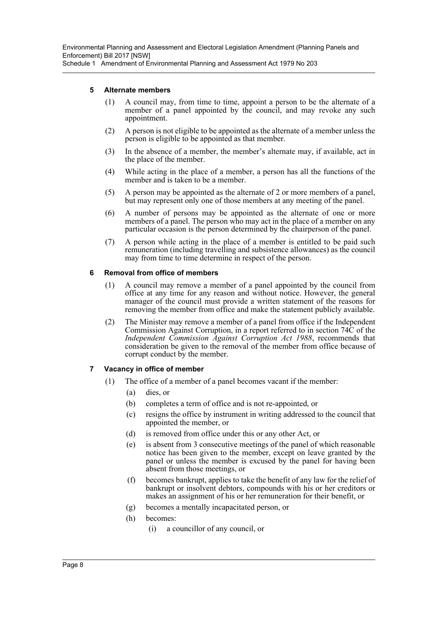### **5 Alternate members**

- (1) A council may, from time to time, appoint a person to be the alternate of a member of a panel appointed by the council, and may revoke any such appointment.
- (2) A person is not eligible to be appointed as the alternate of a member unless the person is eligible to be appointed as that member.
- (3) In the absence of a member, the member's alternate may, if available, act in the place of the member.
- (4) While acting in the place of a member, a person has all the functions of the member and is taken to be a member.
- (5) A person may be appointed as the alternate of 2 or more members of a panel, but may represent only one of those members at any meeting of the panel.
- (6) A number of persons may be appointed as the alternate of one or more members of a panel. The person who may act in the place of a member on any particular occasion is the person determined by the chairperson of the panel.
- (7) A person while acting in the place of a member is entitled to be paid such remuneration (including travelling and subsistence allowances) as the council may from time to time determine in respect of the person.

### **6 Removal from office of members**

- (1) A council may remove a member of a panel appointed by the council from office at any time for any reason and without notice. However, the general manager of the council must provide a written statement of the reasons for removing the member from office and make the statement publicly available.
- (2) The Minister may remove a member of a panel from office if the Independent Commission Against Corruption, in a report referred to in section 74C of the *Independent Commission Against Corruption Act 1988*, recommends that consideration be given to the removal of the member from office because of corrupt conduct by the member.

### **7 Vacancy in office of member**

- (1) The office of a member of a panel becomes vacant if the member:
	- (a) dies, or
	- (b) completes a term of office and is not re-appointed, or
	- (c) resigns the office by instrument in writing addressed to the council that appointed the member, or
	- (d) is removed from office under this or any other Act, or
	- (e) is absent from 3 consecutive meetings of the panel of which reasonable notice has been given to the member, except on leave granted by the panel or unless the member is excused by the panel for having been absent from those meetings, or
	- (f) becomes bankrupt, applies to take the benefit of any law for the relief of bankrupt or insolvent debtors, compounds with his or her creditors or makes an assignment of his or her remuneration for their benefit, or
	- (g) becomes a mentally incapacitated person, or
	- (h) becomes:
		- (i) a councillor of any council, or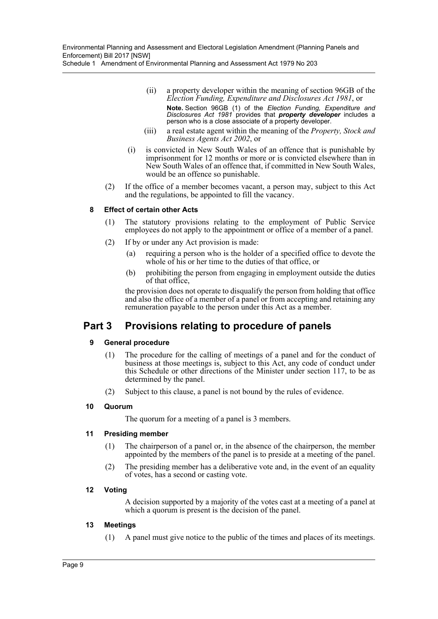- (ii) a property developer within the meaning of section 96GB of the *Election Funding, Expenditure and Disclosures Act 1981*, or **Note.** Section 96GB (1) of the *Election Funding, Expenditure and Disclosures Act 1981* provides that *property developer* includes a person who is a close associate of a property developer.
- (iii) a real estate agent within the meaning of the *Property, Stock and Business Agents Act 2002*, or
- (i) is convicted in New South Wales of an offence that is punishable by imprisonment for 12 months or more or is convicted elsewhere than in New South Wales of an offence that, if committed in New South Wales, would be an offence so punishable.
- (2) If the office of a member becomes vacant, a person may, subject to this Act and the regulations, be appointed to fill the vacancy.

### **8 Effect of certain other Acts**

- (1) The statutory provisions relating to the employment of Public Service employees do not apply to the appointment or office of a member of a panel.
- (2) If by or under any Act provision is made:
	- (a) requiring a person who is the holder of a specified office to devote the whole of his or her time to the duties of that office, or
	- (b) prohibiting the person from engaging in employment outside the duties of that office,

the provision does not operate to disqualify the person from holding that office and also the office of a member of a panel or from accepting and retaining any remuneration payable to the person under this Act as a member.

### **Part 3 Provisions relating to procedure of panels**

### **9 General procedure**

- (1) The procedure for the calling of meetings of a panel and for the conduct of business at those meetings is, subject to this Act, any code of conduct under this Schedule or other directions of the Minister under section 117, to be as determined by the panel.
- (2) Subject to this clause, a panel is not bound by the rules of evidence.

#### **10 Quorum**

The quorum for a meeting of a panel is 3 members.

#### **11 Presiding member**

- (1) The chairperson of a panel or, in the absence of the chairperson, the member appointed by the members of the panel is to preside at a meeting of the panel.
- (2) The presiding member has a deliberative vote and, in the event of an equality of votes, has a second or casting vote.

### **12 Voting**

A decision supported by a majority of the votes cast at a meeting of a panel at which a quorum is present is the decision of the panel.

#### **13 Meetings**

(1) A panel must give notice to the public of the times and places of its meetings.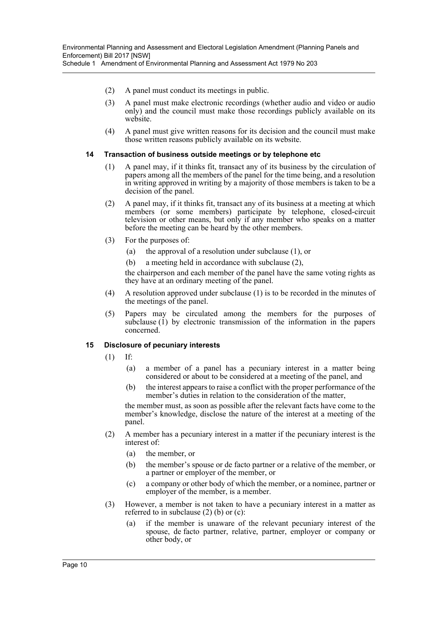- (2) A panel must conduct its meetings in public.
	- (3) A panel must make electronic recordings (whether audio and video or audio only) and the council must make those recordings publicly available on its website.
	- (4) A panel must give written reasons for its decision and the council must make those written reasons publicly available on its website.

### **14 Transaction of business outside meetings or by telephone etc**

- (1) A panel may, if it thinks fit, transact any of its business by the circulation of papers among all the members of the panel for the time being, and a resolution in writing approved in writing by a majority of those members is taken to be a decision of the panel.
- (2) A panel may, if it thinks fit, transact any of its business at a meeting at which members (or some members) participate by telephone, closed-circuit television or other means, but only if any member who speaks on a matter before the meeting can be heard by the other members.
- (3) For the purposes of:
	- (a) the approval of a resolution under subclause (1), or
	- (b) a meeting held in accordance with subclause (2),

the chairperson and each member of the panel have the same voting rights as they have at an ordinary meeting of the panel.

- (4) A resolution approved under subclause (1) is to be recorded in the minutes of the meetings of the panel.
- (5) Papers may be circulated among the members for the purposes of subclause  $(i)$  by electronic transmission of the information in the papers concerned.

### **15 Disclosure of pecuniary interests**

- (1) If:
	- (a) a member of a panel has a pecuniary interest in a matter being considered or about to be considered at a meeting of the panel, and
	- (b) the interest appears to raise a conflict with the proper performance of the member's duties in relation to the consideration of the matter,

the member must, as soon as possible after the relevant facts have come to the member's knowledge, disclose the nature of the interest at a meeting of the panel.

- (2) A member has a pecuniary interest in a matter if the pecuniary interest is the interest of:
	- (a) the member, or
	- (b) the member's spouse or de facto partner or a relative of the member, or a partner or employer of the member, or
	- (c) a company or other body of which the member, or a nominee, partner or employer of the member, is a member.
- (3) However, a member is not taken to have a pecuniary interest in a matter as referred to in subclause (2) (b) or (c):
	- (a) if the member is unaware of the relevant pecuniary interest of the spouse, de facto partner, relative, partner, employer or company or other body, or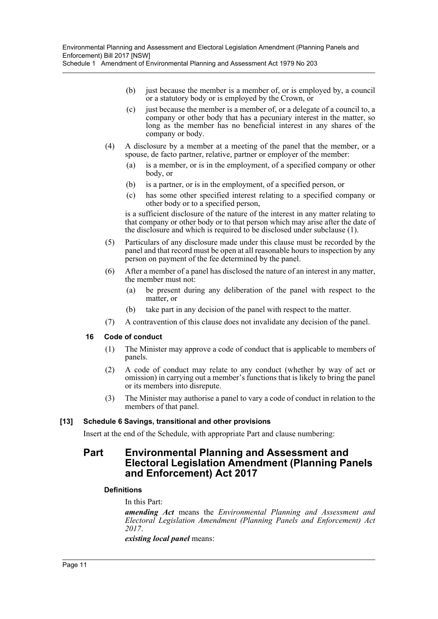- (b) just because the member is a member of, or is employed by, a council or a statutory body or is employed by the Crown, or
- (c) just because the member is a member of, or a delegate of a council to, a company or other body that has a pecuniary interest in the matter, so long as the member has no beneficial interest in any shares of the company or body.
- (4) A disclosure by a member at a meeting of the panel that the member, or a spouse, de facto partner, relative, partner or employer of the member:
	- (a) is a member, or is in the employment, of a specified company or other body, or
	- (b) is a partner, or is in the employment, of a specified person, or
	- (c) has some other specified interest relating to a specified company or other body or to a specified person,

is a sufficient disclosure of the nature of the interest in any matter relating to that company or other body or to that person which may arise after the date of the disclosure and which is required to be disclosed under subclause (1).

- (5) Particulars of any disclosure made under this clause must be recorded by the panel and that record must be open at all reasonable hours to inspection by any person on payment of the fee determined by the panel.
- (6) After a member of a panel has disclosed the nature of an interest in any matter, the member must not:
	- (a) be present during any deliberation of the panel with respect to the matter, or
	- (b) take part in any decision of the panel with respect to the matter.
- (7) A contravention of this clause does not invalidate any decision of the panel.

### **16 Code of conduct**

- (1) The Minister may approve a code of conduct that is applicable to members of panels.
- (2) A code of conduct may relate to any conduct (whether by way of act or omission) in carrying out a member's functions that is likely to bring the panel or its members into disrepute.
- (3) The Minister may authorise a panel to vary a code of conduct in relation to the members of that panel.

### **[13] Schedule 6 Savings, transitional and other provisions**

Insert at the end of the Schedule, with appropriate Part and clause numbering:

### **Part Environmental Planning and Assessment and Electoral Legislation Amendment (Planning Panels and Enforcement) Act 2017**

### **Definitions**

In this Part:

*amending Act* means the *Environmental Planning and Assessment and Electoral Legislation Amendment (Planning Panels and Enforcement) Act 2017*.

*existing local panel* means: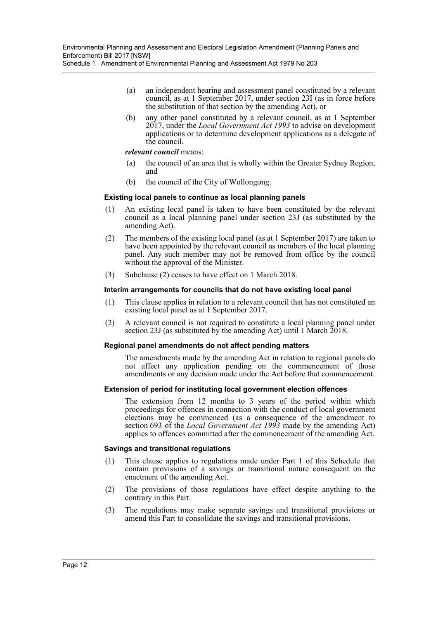- (a) an independent hearing and assessment panel constituted by a relevant council, as at 1 September 2017, under section 23I (as in force before the substitution of that section by the amending Act), or
- (b) any other panel constituted by a relevant council, as at 1 September 2017, under the *Local Government Act 1993* to advise on development applications or to determine development applications as a delegate of the council.

### *relevant council* means:

- (a) the council of an area that is wholly within the Greater Sydney Region, and
- (b) the council of the City of Wollongong.

### **Existing local panels to continue as local planning panels**

- (1) An existing local panel is taken to have been constituted by the relevant council as a local planning panel under section 23J (as substituted by the amending Act).
- (2) The members of the existing local panel (as at 1 September 2017) are taken to have been appointed by the relevant council as members of the local planning panel. Any such member may not be removed from office by the council without the approval of the Minister.
- (3) Subclause (2) ceases to have effect on 1 March 2018.

### **Interim arrangements for councils that do not have existing local panel**

- (1) This clause applies in relation to a relevant council that has not constituted an existing local panel as at 1 September 2017.
- (2) A relevant council is not required to constitute a local planning panel under section 23J (as substituted by the amending Act) until 1 March 2018.

#### **Regional panel amendments do not affect pending matters**

The amendments made by the amending Act in relation to regional panels do not affect any application pending on the commencement of those amendments or any decision made under the Act before that commencement.

#### **Extension of period for instituting local government election offences**

The extension from 12 months to 3 years of the period within which proceedings for offences in connection with the conduct of local government elections may be commenced (as a consequence of the amendment to section 693 of the *Local Government Act 1993* made by the amending Act) applies to offences committed after the commencement of the amending Act.

#### **Savings and transitional regulations**

- (1) This clause applies to regulations made under Part 1 of this Schedule that contain provisions of a savings or transitional nature consequent on the enactment of the amending Act.
- (2) The provisions of those regulations have effect despite anything to the contrary in this Part.
- (3) The regulations may make separate savings and transitional provisions or amend this Part to consolidate the savings and transitional provisions.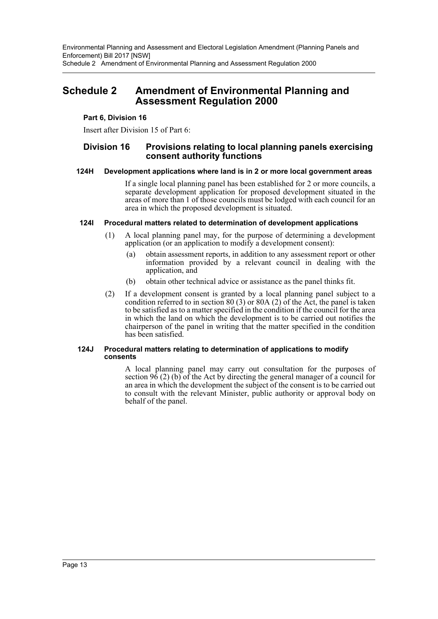### <span id="page-13-0"></span>**Schedule 2 Amendment of Environmental Planning and Assessment Regulation 2000**

### **Part 6, Division 16**

Insert after Division 15 of Part 6:

### **Division 16 Provisions relating to local planning panels exercising consent authority functions**

### **124H Development applications where land is in 2 or more local government areas**

If a single local planning panel has been established for 2 or more councils, a separate development application for proposed development situated in the areas of more than 1 of those councils must be lodged with each council for an area in which the proposed development is situated.

### **124I Procedural matters related to determination of development applications**

- (1) A local planning panel may, for the purpose of determining a development application (or an application to modify a development consent):
	- (a) obtain assessment reports, in addition to any assessment report or other information provided by a relevant council in dealing with the application, and
	- (b) obtain other technical advice or assistance as the panel thinks fit.
- (2) If a development consent is granted by a local planning panel subject to a condition referred to in section  $80(3)$  or  $80A(2)$  of the Act, the panel is taken to be satisfied as to a matter specified in the condition if the council for the area in which the land on which the development is to be carried out notifies the chairperson of the panel in writing that the matter specified in the condition has been satisfied.

### **124J Procedural matters relating to determination of applications to modify consents**

A local planning panel may carry out consultation for the purposes of section  $96(2)$  (b) of the Act by directing the general manager of a council for an area in which the development the subject of the consent is to be carried out to consult with the relevant Minister, public authority or approval body on behalf of the panel.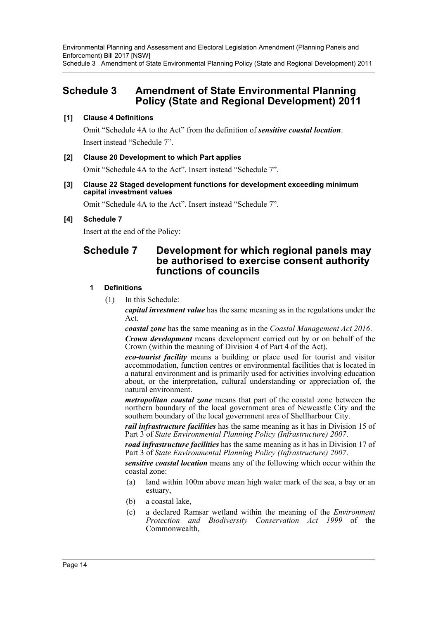Environmental Planning and Assessment and Electoral Legislation Amendment (Planning Panels and Enforcement) Bill 2017 [NSW] Schedule 3 Amendment of State Environmental Planning Policy (State and Regional Development) 2011

### <span id="page-14-0"></span>**Schedule 3 Amendment of State Environmental Planning Policy (State and Regional Development) 2011**

### **[1] Clause 4 Definitions**

Omit "Schedule 4A to the Act" from the definition of *sensitive coastal location*. Insert instead "Schedule 7".

### **[2] Clause 20 Development to which Part applies**

Omit "Schedule 4A to the Act". Insert instead "Schedule 7".

### **[3] Clause 22 Staged development functions for development exceeding minimum capital investment values**

Omit "Schedule 4A to the Act". Insert instead "Schedule 7".

### **[4] Schedule 7**

Insert at the end of the Policy:

### **Schedule 7 Development for which regional panels may be authorised to exercise consent authority functions of councils**

### **1 Definitions**

(1) In this Schedule:

*capital investment value* has the same meaning as in the regulations under the Act.

*coastal zone* has the same meaning as in the *Coastal Management Act 2016*.

*Crown development* means development carried out by or on behalf of the Crown (within the meaning of Division 4 of Part 4 of the Act).

*eco-tourist facility* means a building or place used for tourist and visitor accommodation, function centres or environmental facilities that is located in a natural environment and is primarily used for activities involving education about, or the interpretation, cultural understanding or appreciation of, the natural environment.

*metropolitan coastal zone* means that part of the coastal zone between the northern boundary of the local government area of Newcastle City and the southern boundary of the local government area of Shellharbour City.

*rail infrastructure facilities* has the same meaning as it has in Division 15 of Part 3 of *State Environmental Planning Policy (Infrastructure) 2007*.

*road infrastructure facilities* has the same meaning as it has in Division 17 of Part 3 of *State Environmental Planning Policy (Infrastructure) 2007*.

*sensitive coastal location* means any of the following which occur within the coastal zone:

- (a) land within 100m above mean high water mark of the sea, a bay or an estuary,
- (b) a coastal lake,
- (c) a declared Ramsar wetland within the meaning of the *Environment Protection and Biodiversity Conservation Act 1999* of the Commonwealth,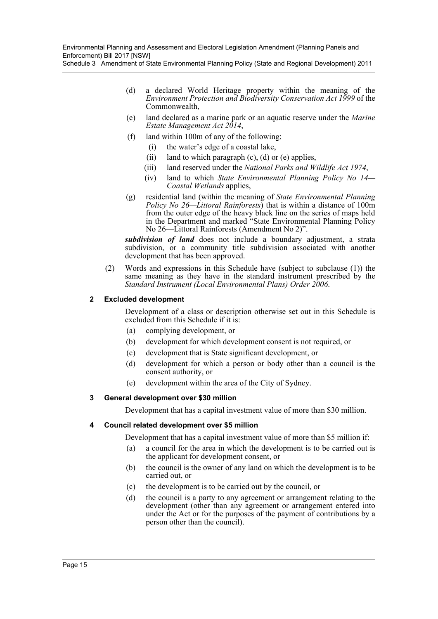Environmental Planning and Assessment and Electoral Legislation Amendment (Planning Panels and Enforcement) Bill 2017 [NSW]

Schedule 3 Amendment of State Environmental Planning Policy (State and Regional Development) 2011

- (d) a declared World Heritage property within the meaning of the *Environment Protection and Biodiversity Conservation Act 1999* of the Commonwealth,
- (e) land declared as a marine park or an aquatic reserve under the *Marine Estate Management Act 2014*,
- (f) land within 100m of any of the following:
	- (i) the water's edge of a coastal lake,
	- (ii) land to which paragraph  $(c)$ ,  $(d)$  or  $(e)$  applies,
	- (iii) land reserved under the *National Parks and Wildlife Act 1974*,
	- (iv) land to which *State Environmental Planning Policy No 14— Coastal Wetlands* applies,
- (g) residential land (within the meaning of *State Environmental Planning Policy No 26—Littoral Rainforests*) that is within a distance of 100m from the outer edge of the heavy black line on the series of maps held in the Department and marked "State Environmental Planning Policy No 26—Littoral Rainforests (Amendment No 2)".

*subdivision of land* does not include a boundary adjustment, a strata subdivision, or a community title subdivision associated with another development that has been approved.

(2) Words and expressions in this Schedule have (subject to subclause (1)) the same meaning as they have in the standard instrument prescribed by the *Standard Instrument (Local Environmental Plans) Order 2006*.

### **2 Excluded development**

Development of a class or description otherwise set out in this Schedule is excluded from this Schedule if it is:

- (a) complying development, or
- (b) development for which development consent is not required, or
- (c) development that is State significant development, or
- (d) development for which a person or body other than a council is the consent authority, or
- (e) development within the area of the City of Sydney.

#### **3 General development over \$30 million**

Development that has a capital investment value of more than \$30 million.

#### **4 Council related development over \$5 million**

Development that has a capital investment value of more than \$5 million if:

- (a) a council for the area in which the development is to be carried out is the applicant for development consent, or
- (b) the council is the owner of any land on which the development is to be carried out, or
- (c) the development is to be carried out by the council, or
- (d) the council is a party to any agreement or arrangement relating to the development (other than any agreement or arrangement entered into under the Act or for the purposes of the payment of contributions by a person other than the council).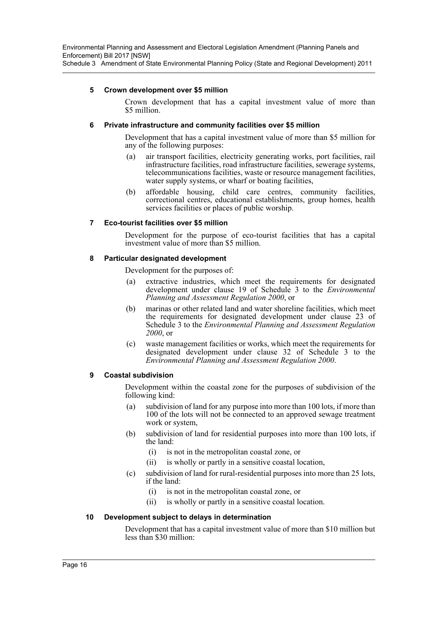### **5 Crown development over \$5 million**

Crown development that has a capital investment value of more than \$5 million.

### **6 Private infrastructure and community facilities over \$5 million**

Development that has a capital investment value of more than \$5 million for any of the following purposes:

- (a) air transport facilities, electricity generating works, port facilities, rail infrastructure facilities, road infrastructure facilities, sewerage systems, telecommunications facilities, waste or resource management facilities, water supply systems, or wharf or boating facilities,
- (b) affordable housing, child care centres, community facilities, correctional centres, educational establishments, group homes, health services facilities or places of public worship.

### **7 Eco-tourist facilities over \$5 million**

Development for the purpose of eco-tourist facilities that has a capital investment value of more than \$5 million.

### **8 Particular designated development**

Development for the purposes of:

- (a) extractive industries, which meet the requirements for designated development under clause 19 of Schedule 3 to the *Environmental Planning and Assessment Regulation 2000*, or
- (b) marinas or other related land and water shoreline facilities, which meet the requirements for designated development under clause 23 of Schedule 3 to the *Environmental Planning and Assessment Regulation 2000*, or
- (c) waste management facilities or works, which meet the requirements for designated development under clause 32 of Schedule 3 to the *Environmental Planning and Assessment Regulation 2000*.

### **9 Coastal subdivision**

Development within the coastal zone for the purposes of subdivision of the following kind:

- (a) subdivision of land for any purpose into more than 100 lots, if more than 100 of the lots will not be connected to an approved sewage treatment work or system,
- (b) subdivision of land for residential purposes into more than 100 lots, if the land:
	- (i) is not in the metropolitan coastal zone, or
	- (ii) is wholly or partly in a sensitive coastal location,
- (c) subdivision of land for rural-residential purposes into more than 25 lots, if the land:
	- (i) is not in the metropolitan coastal zone, or
	- (ii) is wholly or partly in a sensitive coastal location.

### **10 Development subject to delays in determination**

Development that has a capital investment value of more than \$10 million but less than \$30 million: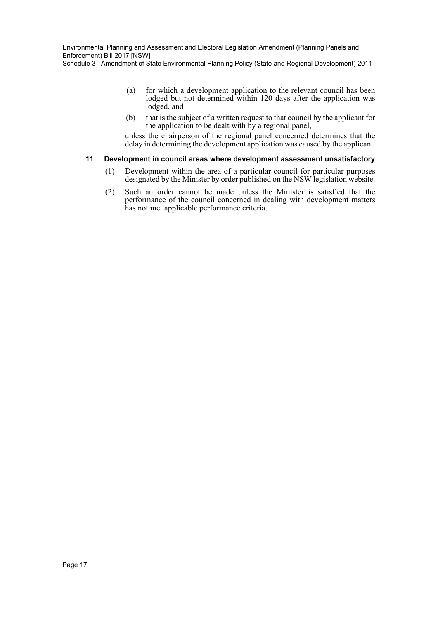Schedule 3 Amendment of State Environmental Planning Policy (State and Regional Development) 2011

- (a) for which a development application to the relevant council has been lodged but not determined within 120 days after the application was lodged, and
- (b) that is the subject of a written request to that council by the applicant for the application to be dealt with by a regional panel,

unless the chairperson of the regional panel concerned determines that the delay in determining the development application was caused by the applicant.

### **11 Development in council areas where development assessment unsatisfactory**

- (1) Development within the area of a particular council for particular purposes designated by the Minister by order published on the NSW legislation website.
- (2) Such an order cannot be made unless the Minister is satisfied that the performance of the council concerned in dealing with development matters has not met applicable performance criteria.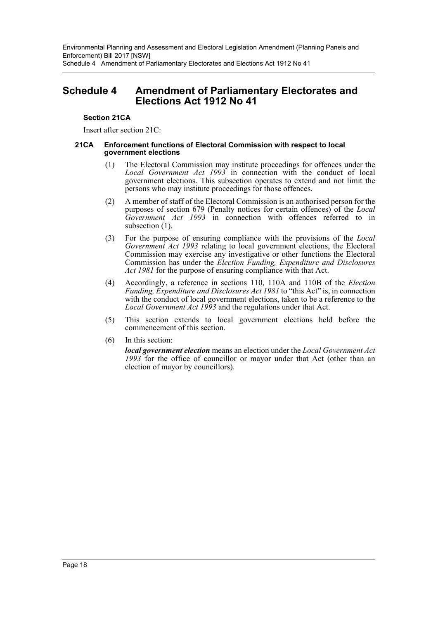### <span id="page-18-0"></span>**Schedule 4 Amendment of Parliamentary Electorates and Elections Act 1912 No 41**

### **Section 21CA**

Insert after section 21C:

#### **21CA Enforcement functions of Electoral Commission with respect to local government elections**

- (1) The Electoral Commission may institute proceedings for offences under the *Local Government Act 1993* in connection with the conduct of local government elections. This subsection operates to extend and not limit the persons who may institute proceedings for those offences.
- (2) A member of staff of the Electoral Commission is an authorised person for the purposes of section 679 (Penalty notices for certain offences) of the *Local Government Act 1993* in connection with offences referred to in subsection  $(1)$ .
- (3) For the purpose of ensuring compliance with the provisions of the *Local Government Act 1993* relating to local government elections, the Electoral Commission may exercise any investigative or other functions the Electoral Commission has under the *Election Funding, Expenditure and Disclosures Act 1981* for the purpose of ensuring compliance with that Act.
- (4) Accordingly, a reference in sections 110, 110A and 110B of the *Election Funding, Expenditure and Disclosures Act 1981* to "this Act" is, in connection with the conduct of local government elections, taken to be a reference to the *Local Government Act 1993* and the regulations under that Act.
- (5) This section extends to local government elections held before the commencement of this section.
- (6) In this section:

*local government election* means an election under the *Local Government Act 1993* for the office of councillor or mayor under that Act (other than an election of mayor by councillors).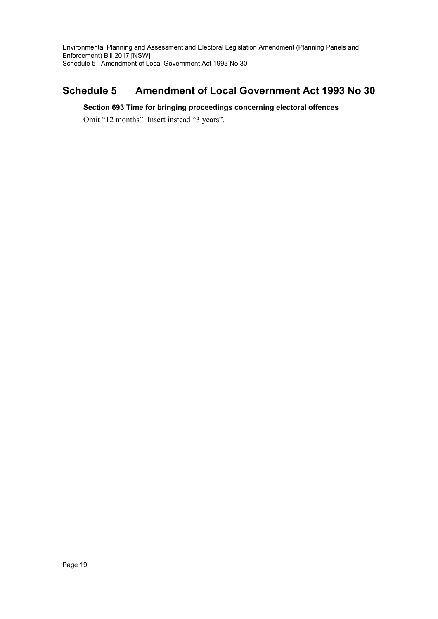## <span id="page-19-0"></span>**Schedule 5 Amendment of Local Government Act 1993 No 30**

### **Section 693 Time for bringing proceedings concerning electoral offences**

Omit "12 months". Insert instead "3 years".